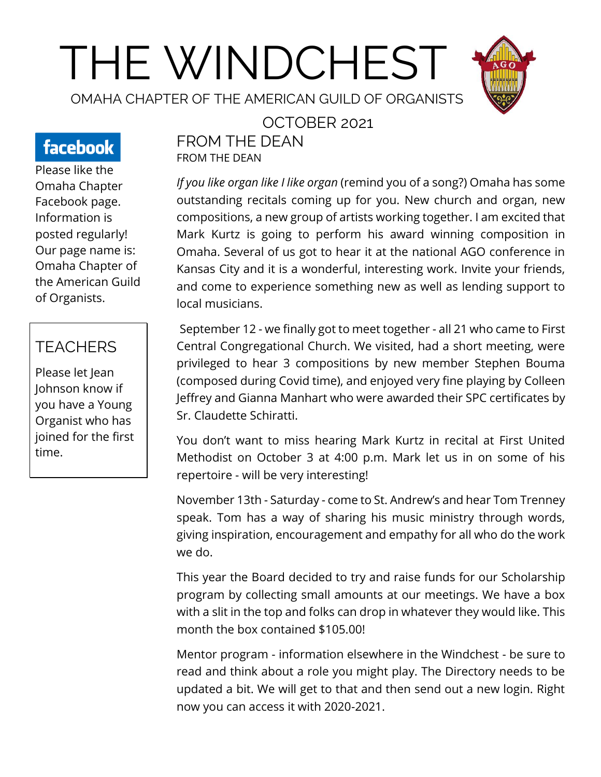# THE WINDCHEST



OMAHA CHAPTER OF THE AMERICAN GUILD OF ORGANISTS

# facebook

Please like the Omaha Chapter Facebook page. Information is posted regularly! Our page name is: Omaha Chapter of the American Guild of Organists.

## **TEACHERS**

Please let Jean Johnson know if you have a Young Organist who has joined for the first time.

#### OCTOBER 2021

FROM THE DEAN FROM THE DEAN

*If you like organ like I like organ* (remind you of a song?) Omaha has some outstanding recitals coming up for you. New church and organ, new compositions, a new group of artists working together. I am excited that Mark Kurtz is going to perform his award winning composition in Omaha. Several of us got to hear it at the national AGO conference in Kansas City and it is a wonderful, interesting work. Invite your friends, and come to experience something new as well as lending support to local musicians.

September 12 - we finally got to meet together - all 21 who came to First Central Congregational Church. We visited, had a short meeting, were privileged to hear 3 compositions by new member Stephen Bouma (composed during Covid time), and enjoyed very fine playing by Colleen Jeffrey and Gianna Manhart who were awarded their SPC certificates by Sr. Claudette Schiratti.

You don't want to miss hearing Mark Kurtz in recital at First United Methodist on October 3 at 4:00 p.m. Mark let us in on some of his repertoire - will be very interesting!

November 13th - Saturday - come to St. Andrew's and hear Tom Trenney speak. Tom has a way of sharing his music ministry through words, giving inspiration, encouragement and empathy for all who do the work we do.

This year the Board decided to try and raise funds for our Scholarship program by collecting small amounts at our meetings. We have a box with a slit in the top and folks can drop in whatever they would like. This month the box contained \$105.00!

Mentor program - information elsewhere in the Windchest - be sure to read and think about a role you might play. The Directory needs to be updated a bit. We will get to that and then send out a new login. Right now you can access it with 2020-2021.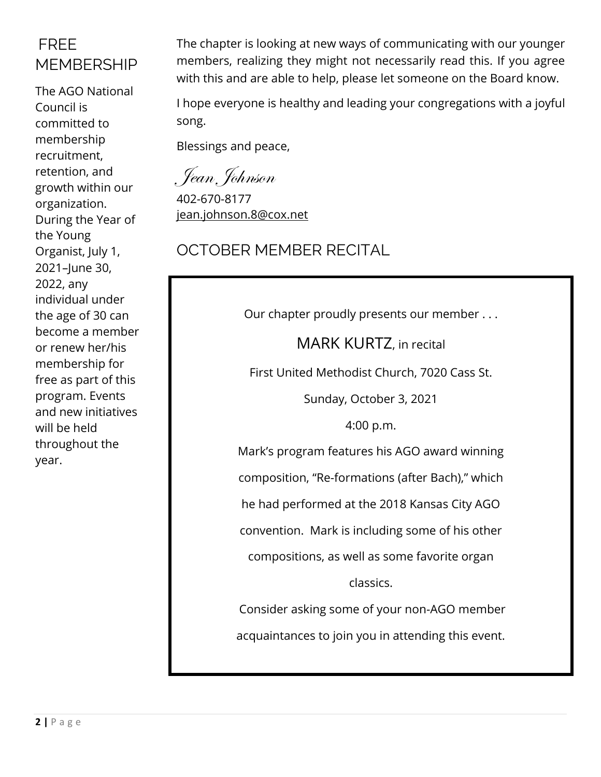## FREE MEMBERSHIP

The AGO National Council is committed to membership recruitment, retention, and growth within our organization. During the Year of the Young Organist, July 1, 2021–June 30, 2022, any individual under the age of 30 can become a member or renew her/his membership for free as part of this program. Events and new initiatives will be held throughout the year.

The chapter is looking at new ways of communicating with our younger members, realizing they might not necessarily read this. If you agree with this and are able to help, please let someone on the Board know.

I hope everyone is healthy and leading your congregations with a joyful song.

Blessings and peace,

Jean Johnson

402-670-8177 [jean.johnson.8@cox.net](mailto:jean.johnson.8@cox.net)

## OCTOBER MEMBER RECITAL

Our chapter proudly presents our member . . .

MARK KURTZ, in recital

First United Methodist Church, 7020 Cass St.

Sunday, October 3, 2021

4:00 p.m.

Mark's program features his AGO award winning

composition, "Re-formations (after Bach)," which

he had performed at the 2018 Kansas City AGO

convention. Mark is including some of his other

compositions, as well as some favorite organ

classics.

Consider asking some of your non-AGO member acquaintances to join you in attending this event.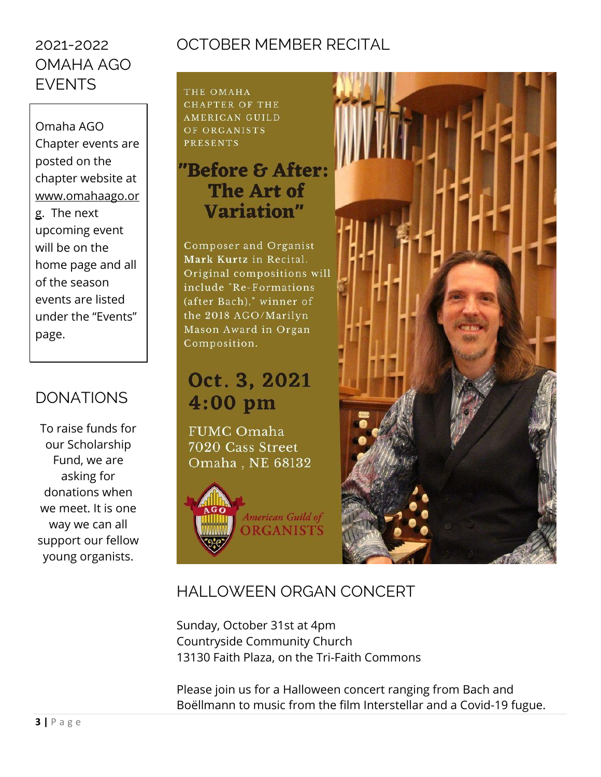## 2021-2022 OMAHA AGO EVENTS

Omaha AGO Chapter events are posted on the chapter website at [www.omahaago.or](http://www.omahaago.org/) [g.](http://www.omahaago.org/) The next upcoming event will be on the home page and all of the season events are listed under the "Events" page.

## DONATIONS

To raise funds for our Scholarship Fund, we are asking for donations when we meet. It is one way we can all support our fellow young organists.

# OCTOBER MEMBER RECITAL

THE OMAHA **CHAPTER OF THE AMERICAN GUILD** OF ORGANISTS **PRESENTS** 

# "Before & After: The Art of Variation"

Composer and Organist Mark Kurtz in Recital. Original compositions will include "Re-Formations (after Bach)," winner of the 2018 AGO/Marilyn Mason Award in Organ Composition.

# Oct. 3, 2021  $4:00$  pm

**FUMC Omaha** 7020 Cass Street Omaha, NE 68132

American Guild of **ORGANISTS** 



## HALLOWEEN ORGAN CONCERT

Sunday, October 31st at 4pm Countryside Community Church 13130 Faith Plaza, on the Tri-Faith Commons

Please join us for a Halloween concert ranging from Bach and Boëllmann to music from the film Interstellar and a Covid-19 fugue.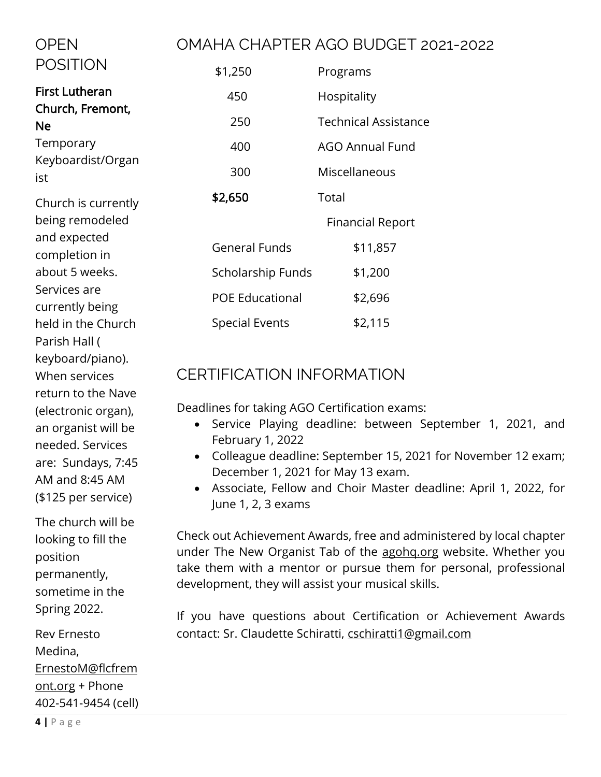#### OMAHA CHAPTER AGO BUDGET 2021-2022

| <b>POSITION</b>                           | \$1,250                | Programs                    |
|-------------------------------------------|------------------------|-----------------------------|
| <b>First Lutheran</b><br>Church, Fremont, | 450                    | Hospitality                 |
| <b>Ne</b><br>Temporary                    | 250                    | <b>Technical Assistance</b> |
|                                           | 400                    | <b>AGO Annual Fund</b>      |
| Keyboardist/Organ<br>ist                  | 300                    | Miscellaneous               |
| Church is currently                       | \$2,650                | Total                       |
| being remodeled                           |                        | <b>Financial Report</b>     |
| and expected<br>completion in             | <b>General Funds</b>   | \$11,857                    |
| about 5 weeks.                            | Scholarship Funds      | \$1,200                     |
| Services are<br>currently being           | <b>POE Educational</b> | \$2,696                     |
| held in the Church<br>Parish Hall (       | <b>Special Events</b>  | \$2,115                     |

#### CERTIFICATION INFORMATION

Deadlines for taking AGO Certification exams:

- Service Playing deadline: between September 1, 2021, and February 1, 2022
- Colleague deadline: September 15, 2021 for November 12 exam; December 1, 2021 for May 13 exam.
- Associate, Fellow and Choir Master deadline: April 1, 2022, for June 1, 2, 3 exams

Check out Achievement Awards, free and administered by local chapter under The New Organist Tab of the [agohq.org](http://agohq.org/) website. Whether you take them with a mentor or pursue them for personal, professional development, they will assist your musical skills.

If you have questions about Certification or Achievement Awards contact: Sr. Claudette Schiratti, [cschiratti1@gmail.com](mailto:cschiratti1@gmail.com)

AM and 8:45 AM (\$125 per service) The church will be looking to fill the position permanently, sometime in the Spring 2022.

keyboard/piano). When services

return to the Nave (electronic organ), an organist will be needed. Services are: Sundays, 7:45

OPEN

Rev Ernesto Medina, [ErnestoM@flcfrem](mailto:ErnestoM@flcfremont.org) [ont.org](mailto:ErnestoM@flcfremont.org) + Phone 402-541-9454 (cell)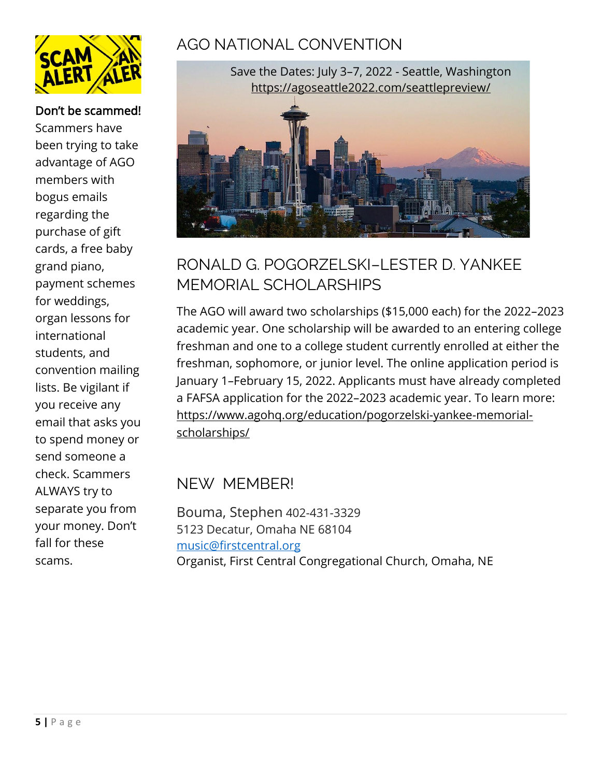

#### Don't be scammed!

Scammers have been trying to take advantage of AGO members with bogus emails regarding the purchase of gift cards, a free baby grand piano, payment schemes for weddings, organ lessons for international students, and convention mailing lists. Be vigilant if you receive any email that asks you to spend money or send someone a check. Scammers ALWAYS try to separate you from your money. Don't fall for these scams.

## AGO NATIONAL CONVENTION



## RONALD G. POGORZELSKI–LESTER D. YANKEE MEMORIAL SCHOLARSHIPS

The AGO will award two scholarships (\$15,000 each) for the 2022–2023 academic year. One scholarship will be awarded to an entering college freshman and one to a college student currently enrolled at either the freshman, sophomore, or junior level. The online application period is January 1–February 15, 2022. Applicants must have already completed a FAFSA application for the 2022–2023 academic year. To learn more: [https://www.agohq.org/education/pogorzelski-yankee-memorial](https://www.agohq.org/education/pogorzelski-yankee-memorial-scholarships/)[scholarships/](https://www.agohq.org/education/pogorzelski-yankee-memorial-scholarships/)

#### NEW MEMBER!

Bouma, Stephen 402-431-3329 5123 Decatur, Omaha NE 68104 [music@firstcentral.org](mailto:music@firstcentral.org) Organist, First Central Congregational Church, Omaha, NE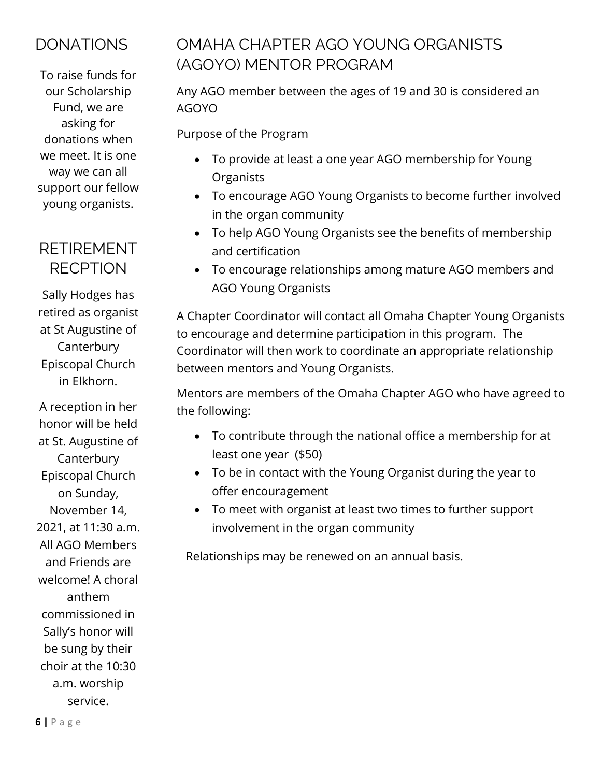## **DONATIONS**

To raise funds for our Scholarship Fund, we are asking for donations when we meet. It is one way we can all support our fellow young organists.

## RETIREMENT RECPTION

Sally Hodges has retired as organist at St Augustine of Canterbury Episcopal Church in Elkhorn.

A reception in her honor will be held at St. Augustine of **Canterbury** Episcopal Church on Sunday, November 14, 2021, at 11:30 a.m. All AGO Members and Friends are welcome! A choral anthem commissioned in Sally's honor will be sung by their choir at the 10:30 a.m. worship service.

## OMAHA CHAPTER AGO YOUNG ORGANISTS (AGOYO) MENTOR PROGRAM

Any AGO member between the ages of 19 and 30 is considered an AGOYO

Purpose of the Program

- To provide at least a one year AGO membership for Young **Organists**
- To encourage AGO Young Organists to become further involved in the organ community
- To help AGO Young Organists see the benefits of membership and certification
- To encourage relationships among mature AGO members and AGO Young Organists

A Chapter Coordinator will contact all Omaha Chapter Young Organists to encourage and determine participation in this program. The Coordinator will then work to coordinate an appropriate relationship between mentors and Young Organists.

Mentors are members of the Omaha Chapter AGO who have agreed to the following:

- To contribute through the national office a membership for at least one year (\$50)
- To be in contact with the Young Organist during the year to offer encouragement
- To meet with organist at least two times to further support involvement in the organ community

Relationships may be renewed on an annual basis.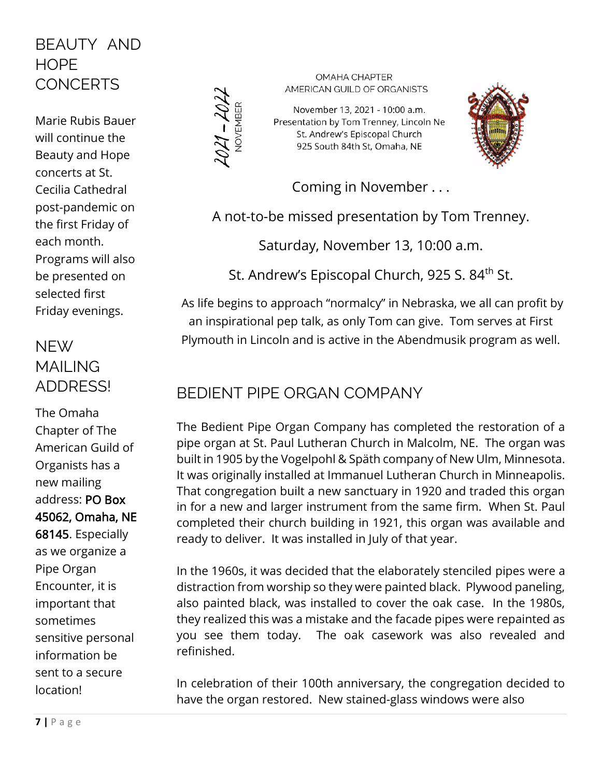## BEAUTY AND HOPE **CONCERTS**

Marie Rubis Bauer will continue the Beauty and Hope concerts at St. Cecilia Cathedral post-pandemic on the first Friday of each month. Programs will also be presented on selected first Friday evenings.

## NFW/ MAILING ADDRESS!

The Omaha Chapter of The American Guild of Organists has a new mailing address: PO Box 45062, Omaha, NE 68145. Especially as we organize a Pipe Organ Encounter, it is important that sometimes sensitive personal information be sent to a secure location!



**OMAHA CHAPTER** AMERICAN GUILD OF ORGANISTS

November 13, 2021 - 10:00 a.m. Presentation by Tom Trenney, Lincoln Ne St. Andrew's Episcopal Church 925 South 84th St, Omaha, NE



Coming in November . . .

A not-to-be missed presentation by Tom Trenney.

Saturday, November 13, 10:00 a.m.

St. Andrew's Episcopal Church, 925 S. 84<sup>th</sup> St.

As life begins to approach "normalcy" in Nebraska, we all can profit by an inspirational pep talk, as only Tom can give. Tom serves at First Plymouth in Lincoln and is active in the Abendmusik program as well.

## BEDIENT PIPE ORGAN COMPANY

The Bedient Pipe Organ Company has completed the restoration of a pipe organ at St. Paul Lutheran Church in Malcolm, NE. The organ was built in 1905 by the Vogelpohl & Späth company of New Ulm, Minnesota. It was originally installed at Immanuel Lutheran Church in Minneapolis. That congregation built a new sanctuary in 1920 and traded this organ in for a new and larger instrument from the same firm. When St. Paul completed their church building in 1921, this organ was available and ready to deliver. It was installed in July of that year.

In the 1960s, it was decided that the elaborately stenciled pipes were a distraction from worship so they were painted black. Plywood paneling, also painted black, was installed to cover the oak case. In the 1980s, they realized this was a mistake and the facade pipes were repainted as you see them today. The oak casework was also revealed and refinished.

In celebration of their 100th anniversary, the congregation decided to have the organ restored. New stained-glass windows were also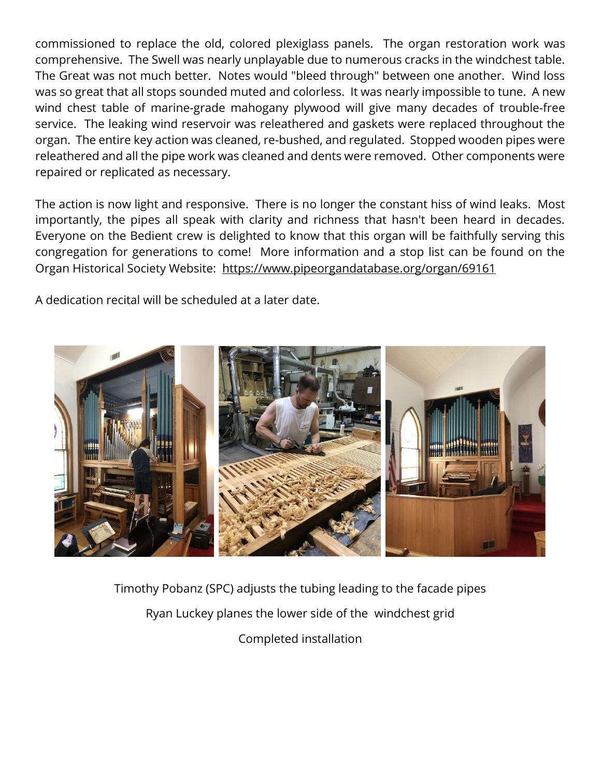commissioned to replace the old, colored plexiglass panels. The organ restoration work was comprehensive. The Swell was nearly unplayable due to numerous cracks in the windchest table. The Great was not much better. Notes would "bleed through" between one another. Wind loss was so great that all stops sounded muted and colorless. It was nearly impossible to tune. A new wind chest table of marine-grade mahogany plywood will give many decades of trouble-free service. The leaking wind reservoir was releathered and gaskets were replaced throughout the organ. The entire key action was cleaned, re-bushed, and regulated. Stopped wooden pipes were releathered and all the pipe work was cleaned and dents were removed. Other components were repaired or replicated as necessary.

The action is now light and responsive. There is no longer the constant hiss of wind leaks. Most importantly, the pipes all speak with clarity and richness that hasn't been heard in decades. Everyone on the Bedient crew is delighted to know that this organ will be faithfully serving this congregation for generations to come! More information and a stop list can be found on the Organ Historical Society Website: <https://www.pipeorgandatabase.org/organ/69161>

A dedication recital will be scheduled at a later date.



Timothy Pobanz (SPC) adjusts the tubing leading to the facade pipes Ryan Luckey planes the lower side of the windchest grid Completed installation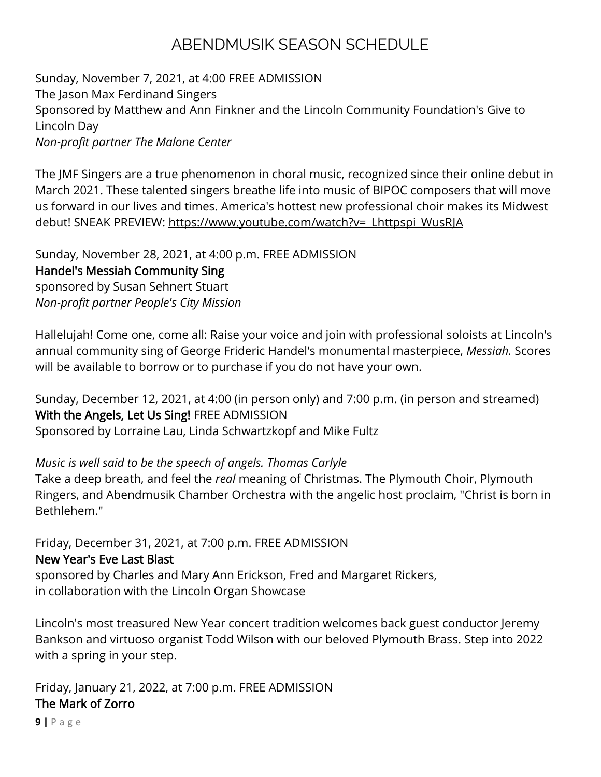## ABENDMUSIK SEASON SCHEDULE

Sunday, November 7, 2021, at 4:00 FREE ADMISSION The Jason Max Ferdinand Singers Sponsored by Matthew and Ann Finkner and the Lincoln Community Foundation's Give to Lincoln Day *Non-profit partner The Malone Center*

The JMF Singers are a true phenomenon in choral music, recognized since their online debut in March 2021. These talented singers breathe life into music of BIPOC composers that will move us forward in our lives and times. America's hottest new professional choir makes its Midwest debut! SNEAK PREVIEW: [https://www.youtube.com/watch?v=\\_Lhttpspi\\_WusRJA](https://r20.rs6.net/tn.jsp?f=001njnW5SeWdURF3qFRjncXPeN4xVPBEXNBZP-LFIM1qeFqmNdcEfYYXWFa0bJsSXQatqXZPNtsj6TGq-VbXJ4JYzGggIfiwdN1XYDcx-8OzRsKmUi3s5CQwUEUcWPxW5TuvAQ76rUbpJFOZxwXhE3-yM933EWpUOzdSvjzC_dwjoo7-CCahDKVyarS8pqr50SxI4YJBBgtnnQIapCSpT60hyL1eLISCQSwB9rbRf7h9fKt7QjZO5MEZQ==&c=mt2PL8c765EMvCHvEC3cTOM4j-neEPia2iVMeMpX7wKeNVOIGNtwIA==&ch=FesH4U439ie9tXIJ3OPox6ukJ83hIBNRCJXNm9dVdI4lmSKEi3JgWg==)

Sunday, November 28, 2021, at 4:00 p.m. FREE ADMISSION Handel's Messiah Community Sing sponsored by Susan Sehnert Stuart *Non-profit partner People's City Mission* 

Hallelujah! Come one, come all: Raise your voice and join with professional soloists at Lincoln's annual community sing of George Frideric Handel's monumental masterpiece, *Messiah.* Scores will be available to borrow or to purchase if you do not have your own.

Sunday, December 12, 2021, at 4:00 (in person only) and 7:00 p.m. (in person and streamed) With the Angels, Let Us Sing! FREE ADMISSION Sponsored by Lorraine Lau, Linda Schwartzkopf and Mike Fultz

*Music is well said to be the speech of angels. Thomas Carlyle*

Take a deep breath, and feel the *real* meaning of Christmas. The Plymouth Choir, Plymouth Ringers, and Abendmusik Chamber Orchestra with the angelic host proclaim, "Christ is born in Bethlehem."

Friday, December 31, 2021, at 7:00 p.m. FREE ADMISSION

#### New Year's Eve Last Blast

sponsored by Charles and Mary Ann Erickson, Fred and Margaret Rickers, in collaboration with the Lincoln Organ Showcase

Lincoln's most treasured New Year concert tradition welcomes back guest conductor Jeremy Bankson and virtuoso organist Todd Wilson with our beloved Plymouth Brass. Step into 2022 with a spring in your step.

Friday, January 21, 2022, at 7:00 p.m. FREE ADMISSION The Mark of Zorro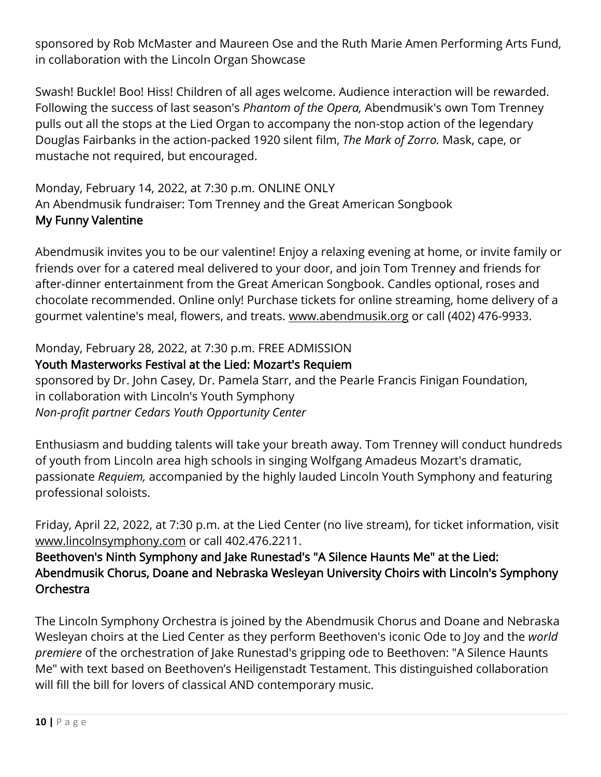sponsored by Rob McMaster and Maureen Ose and the Ruth Marie Amen Performing Arts Fund, in collaboration with the Lincoln Organ Showcase

Swash! Buckle! Boo! Hiss! Children of all ages welcome. Audience interaction will be rewarded. Following the success of last season's *Phantom of the Opera,* Abendmusik's own Tom Trenney pulls out all the stops at the Lied Organ to accompany the non-stop action of the legendary Douglas Fairbanks in the action-packed 1920 silent film, *The Mark of Zorro.* Mask, cape, or mustache not required, but encouraged.

Monday, February 14, 2022, at 7:30 p.m. ONLINE ONLY An Abendmusik fundraiser: Tom Trenney and the Great American Songbook My Funny Valentine

Abendmusik invites you to be our valentine! Enjoy a relaxing evening at home, or invite family or friends over for a catered meal delivered to your door, and join Tom Trenney and friends for after-dinner entertainment from the Great American Songbook. Candles optional, roses and chocolate recommended. Online only! Purchase tickets for online streaming, home delivery of a gourmet valentine's meal, flowers, and treats. [www.abendmusik.org](https://r20.rs6.net/tn.jsp?f=001njnW5SeWdURF3qFRjncXPeN4xVPBEXNBZP-LFIM1qeFqmNdcEfYYXfa8VZzQ5k6-pLQ6GxNpjIg-Vcewh2_zhe2sD5Qlp3Ns8oWf7_JEm2nbOT2MkNPcmTTCQcz7Ijbj9_BbYEESgA0TgyEz-qyz5swgouFN3sRDO_4TdWi9VDf-3vTCzg3rwQYbzrDHK4G5PWCVGHmczaUwyiDStqnfDg==&c=mt2PL8c765EMvCHvEC3cTOM4j-neEPia2iVMeMpX7wKeNVOIGNtwIA==&ch=FesH4U439ie9tXIJ3OPox6ukJ83hIBNRCJXNm9dVdI4lmSKEi3JgWg==) or call (402) 476-9933.

#### Monday, February 28, 2022, at 7:30 p.m. FREE ADMISSION

#### Youth Masterworks Festival at the Lied: Mozart's Requiem

sponsored by Dr. John Casey, Dr. Pamela Starr, and the Pearle Francis Finigan Foundation, in collaboration with Lincoln's Youth Symphony *Non-profit partner Cedars Youth Opportunity Center* 

Enthusiasm and budding talents will take your breath away. Tom Trenney will conduct hundreds of youth from Lincoln area high schools in singing Wolfgang Amadeus Mozart's dramatic, passionate *Requiem,* accompanied by the highly lauded Lincoln Youth Symphony and featuring professional soloists.

Friday, April 22, 2022, at 7:30 p.m. at the Lied Center (no live stream), for ticket information, visit [www.lincolnsymphony.com](https://r20.rs6.net/tn.jsp?f=001njnW5SeWdURF3qFRjncXPeN4xVPBEXNBZP-LFIM1qeFqmNdcEfYYXWFa0bJsSXQasd7RQOZfk4ZW8WDUa2K8Npv32_3UlGLpvucFe6ppzXwCqJNmysbJRXcexcfZQlHODOmvMgceBGYFepOM5TKVDRXVqlIMKbJ4PY-jPK_Np_18in_UnU1p0SUwYRQPGnFuRQl67IshyqSDAQxEP4K0Yg==&c=mt2PL8c765EMvCHvEC3cTOM4j-neEPia2iVMeMpX7wKeNVOIGNtwIA==&ch=FesH4U439ie9tXIJ3OPox6ukJ83hIBNRCJXNm9dVdI4lmSKEi3JgWg==) or call 402.476.2211.

#### Beethoven's Ninth Symphony and Jake Runestad's "A Silence Haunts Me" at the Lied: Abendmusik Chorus, Doane and Nebraska Wesleyan University Choirs with Lincoln's Symphony Orchestra

The Lincoln Symphony Orchestra is joined by the Abendmusik Chorus and Doane and Nebraska Wesleyan choirs at the Lied Center as they perform Beethoven's iconic Ode to Joy and the *world premiere* of the orchestration of Jake Runestad's gripping ode to Beethoven: "A Silence Haunts Me" with text based on Beethoven's Heiligenstadt Testament. This distinguished collaboration will fill the bill for lovers of classical AND contemporary music.